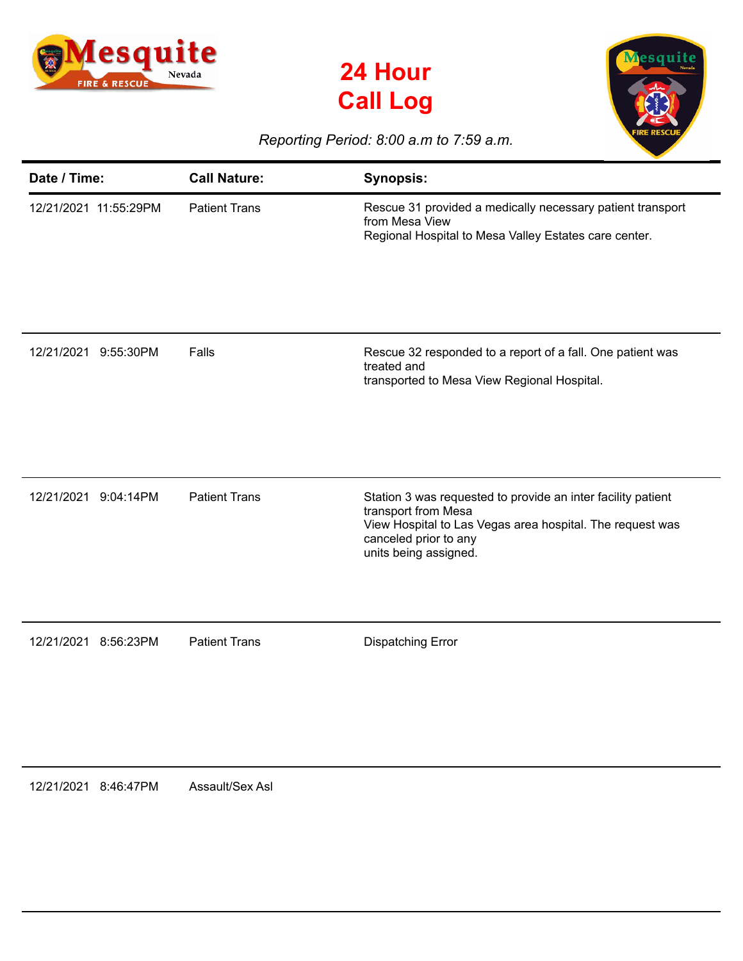





## *Reporting Period: 8:00 a.m to 7:59 a.m.*

| Date / Time:          | <b>Call Nature:</b>  | <b>Synopsis:</b>                                                                                                                                                                                   |
|-----------------------|----------------------|----------------------------------------------------------------------------------------------------------------------------------------------------------------------------------------------------|
| 12/21/2021 11:55:29PM | <b>Patient Trans</b> | Rescue 31 provided a medically necessary patient transport<br>from Mesa View<br>Regional Hospital to Mesa Valley Estates care center.                                                              |
| 12/21/2021 9:55:30PM  | Falls                | Rescue 32 responded to a report of a fall. One patient was<br>treated and<br>transported to Mesa View Regional Hospital.                                                                           |
| 12/21/2021 9:04:14PM  | <b>Patient Trans</b> | Station 3 was requested to provide an inter facility patient<br>transport from Mesa<br>View Hospital to Las Vegas area hospital. The request was<br>canceled prior to any<br>units being assigned. |
| 12/21/2021 8:56:23PM  | <b>Patient Trans</b> | <b>Dispatching Error</b>                                                                                                                                                                           |

12/21/2021 8:46:47PM Assault/Sex Asl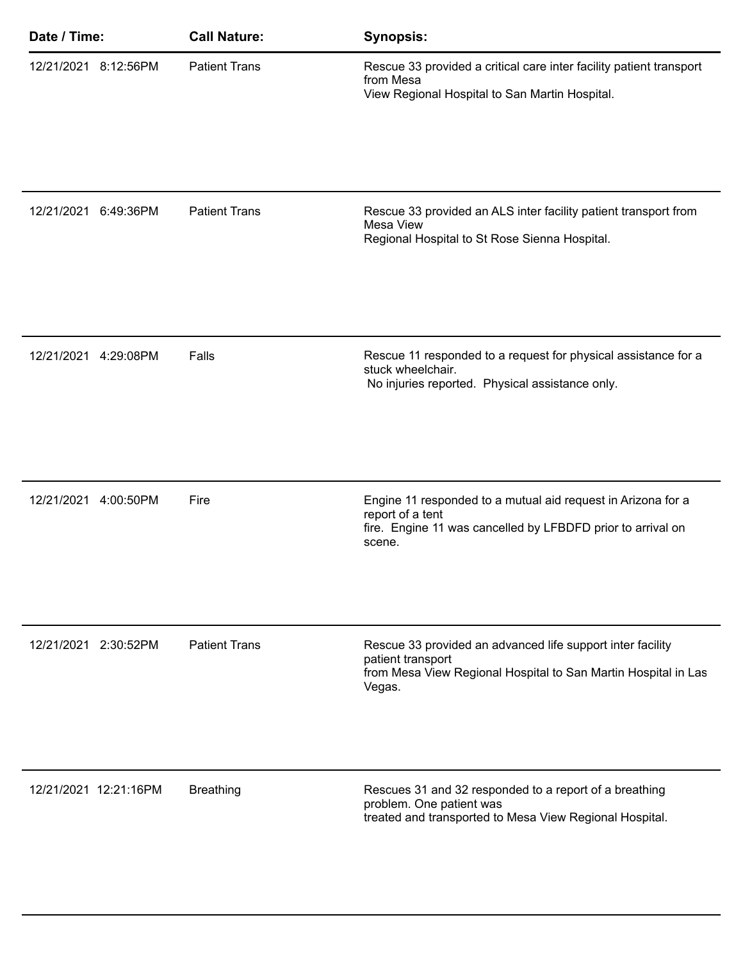| Date / Time:          | <b>Call Nature:</b>  | <b>Synopsis:</b>                                                                                                                                            |
|-----------------------|----------------------|-------------------------------------------------------------------------------------------------------------------------------------------------------------|
| 12/21/2021 8:12:56PM  | <b>Patient Trans</b> | Rescue 33 provided a critical care inter facility patient transport<br>from Mesa<br>View Regional Hospital to San Martin Hospital.                          |
| 12/21/2021 6:49:36PM  | <b>Patient Trans</b> | Rescue 33 provided an ALS inter facility patient transport from<br>Mesa View<br>Regional Hospital to St Rose Sienna Hospital.                               |
| 12/21/2021 4:29:08PM  | Falls                | Rescue 11 responded to a request for physical assistance for a<br>stuck wheelchair.<br>No injuries reported. Physical assistance only.                      |
| 12/21/2021 4:00:50PM  | Fire                 | Engine 11 responded to a mutual aid request in Arizona for a<br>report of a tent<br>fire. Engine 11 was cancelled by LFBDFD prior to arrival on<br>scene.   |
| 12/21/2021 2:30:52PM  | <b>Patient Trans</b> | Rescue 33 provided an advanced life support inter facility<br>patient transport<br>from Mesa View Regional Hospital to San Martin Hospital in Las<br>Vegas. |
| 12/21/2021 12:21:16PM | <b>Breathing</b>     | Rescues 31 and 32 responded to a report of a breathing<br>problem. One patient was<br>treated and transported to Mesa View Regional Hospital.               |